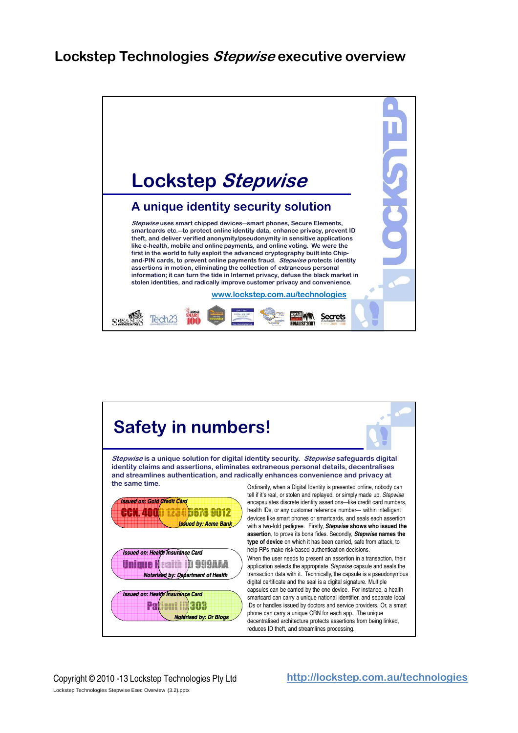

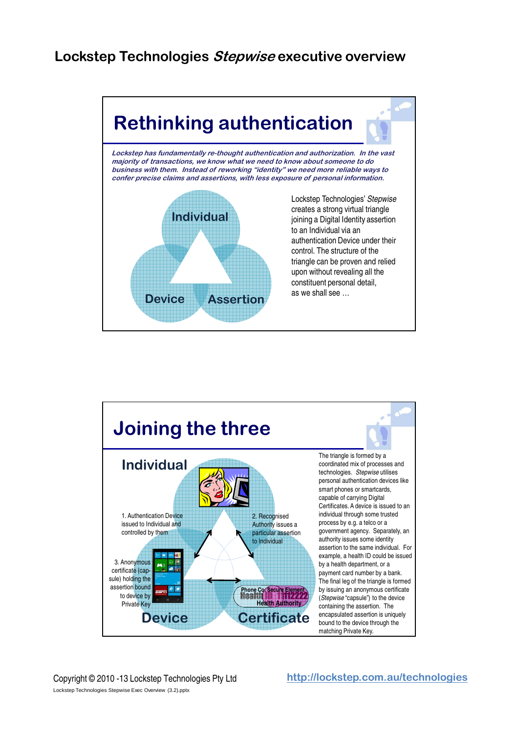

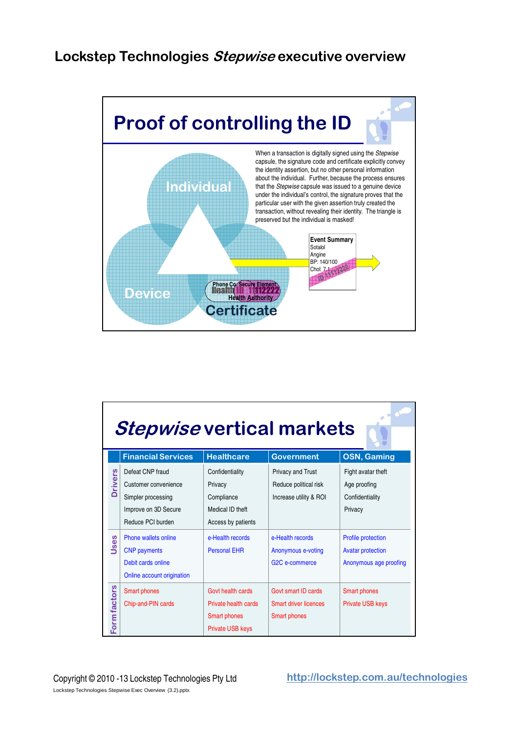

| <b>Stepwise vertical markets</b> |                                                                                                                                                            |                                                                                                                               |                                                                                                                       |                                                                                                                           |  |
|----------------------------------|------------------------------------------------------------------------------------------------------------------------------------------------------------|-------------------------------------------------------------------------------------------------------------------------------|-----------------------------------------------------------------------------------------------------------------------|---------------------------------------------------------------------------------------------------------------------------|--|
|                                  | <b>Financial Services</b>                                                                                                                                  | <b>Healthcare</b>                                                                                                             | <b>Government</b>                                                                                                     | <b>OSN, Gaming</b>                                                                                                        |  |
| <b>Drivers</b><br>es<br>ŠU       | Defeat CNP fraud<br>Customer convenience<br>Simpler processing<br>Improve on 3D Secure<br>Reduce PCI burden<br>Phone wallets online<br><b>CNP</b> payments | Confidentiality<br>Privacy<br>Compliance<br>Medical ID theft<br>Access by patients<br>e-Health records<br><b>Personal EHR</b> | Privacy and Trust<br>Reduce political risk<br>Increase utility & ROI<br>e-Health records<br><b>Anonymous e-voting</b> | Fight avatar theft<br>Age proofing<br>Confidentiality<br>Privacy<br><b>Profile protection</b><br><b>Avatar protection</b> |  |
|                                  | Debit cards online<br>Online account origination                                                                                                           |                                                                                                                               | G <sub>2</sub> C e-commerce                                                                                           | Anonymous age proofing                                                                                                    |  |
| Form factors                     | <b>Smart phones</b><br>Chip-and-PIN cards                                                                                                                  | Govt health cards<br>Private health cards<br><b>Smart phones</b><br><b>Private USB keys</b>                                   | Govt smart ID cards<br>Smart driver licences<br><b>Smart phones</b>                                                   | <b>Smart phones</b><br><b>Private USB keys</b>                                                                            |  |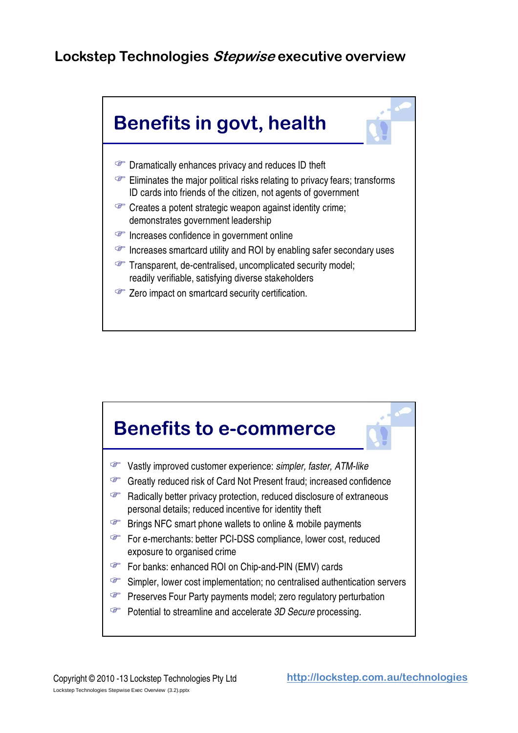

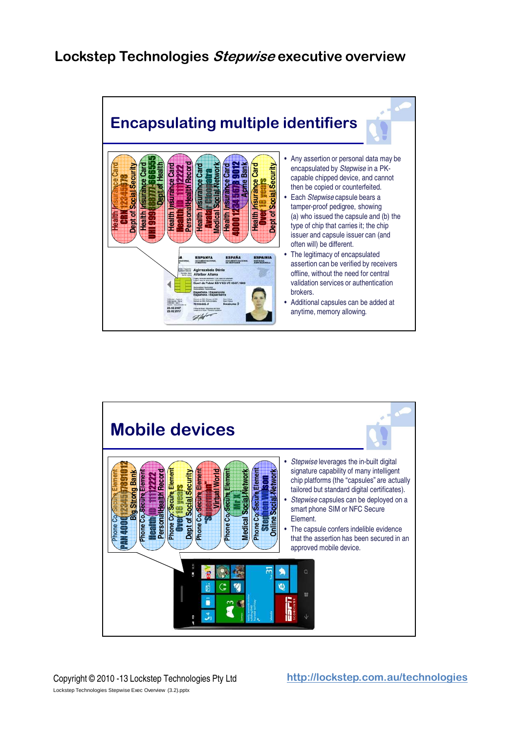

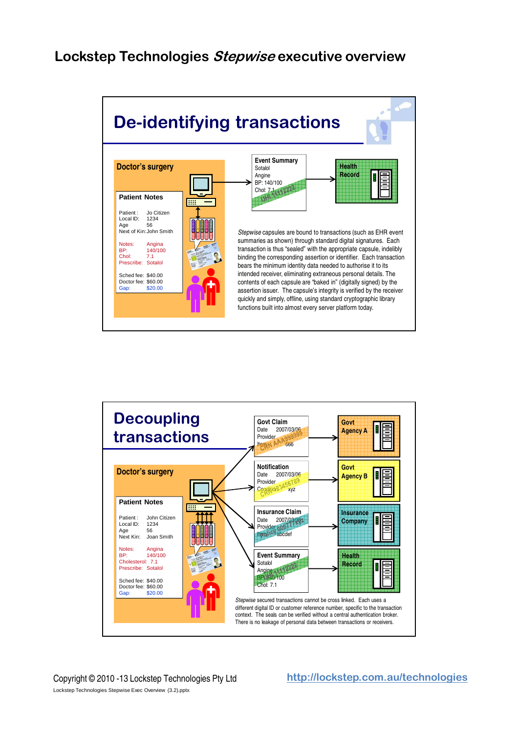

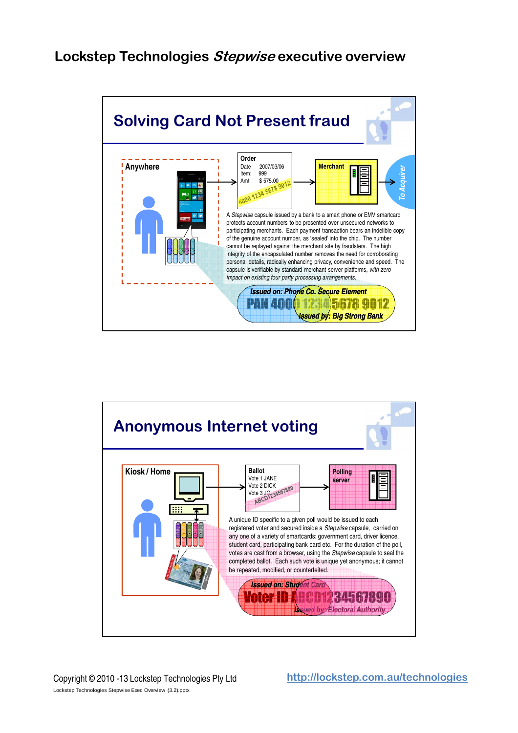

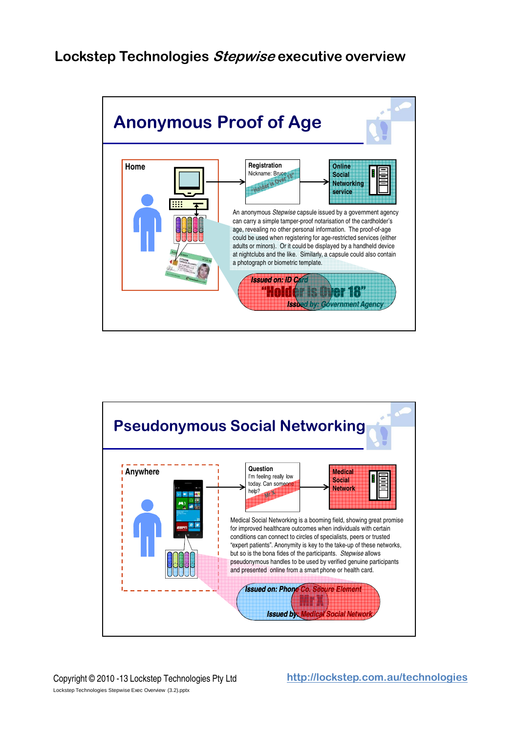

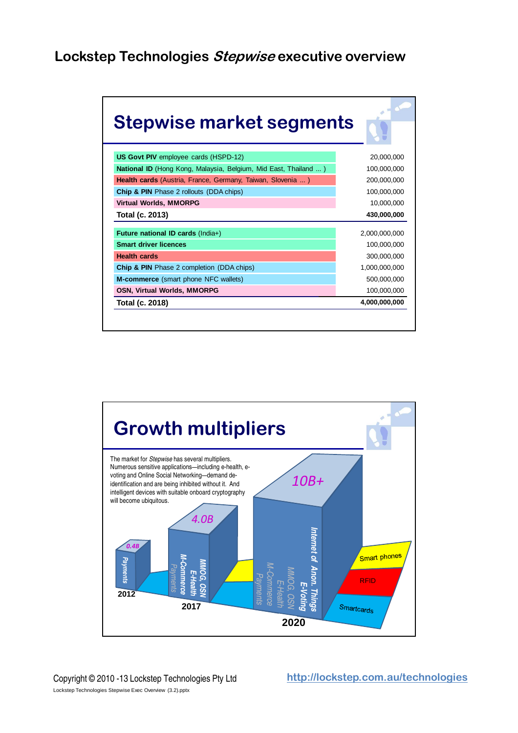| Stepwise market segments                                        | $\overline{a}$ |
|-----------------------------------------------------------------|----------------|
| <b>US Govt PIV</b> employee cards (HSPD-12)                     | 20,000,000     |
| National ID (Hong Kong, Malaysia, Belgium, Mid East, Thailand ) | 100,000,000    |
| Health cards (Austria, France, Germany, Taiwan, Slovenia )      | 200,000,000    |
| <b>Chip &amp; PIN</b> Phase 2 rollouts (DDA chips)              | 100,000,000    |
| <b>Virtual Worlds, MMORPG</b>                                   | 10,000,000     |
| Total (c. 2013)                                                 | 430,000,000    |
| Future national ID cards (India+)                               | 2,000,000,000  |
| <b>Smart driver licences</b>                                    | 100,000,000    |
| <b>Health cards</b>                                             | 300,000,000    |
| <b>Chip &amp; PIN</b> Phase 2 completion (DDA chips)            | 1,000,000,000  |
| M-commerce (smart phone NFC wallets)                            | 500,000,000    |
| <b>OSN, Virtual Worlds, MMORPG</b>                              | 100,000,000    |
| Total (c. 2018)                                                 | 4,000,000,000  |

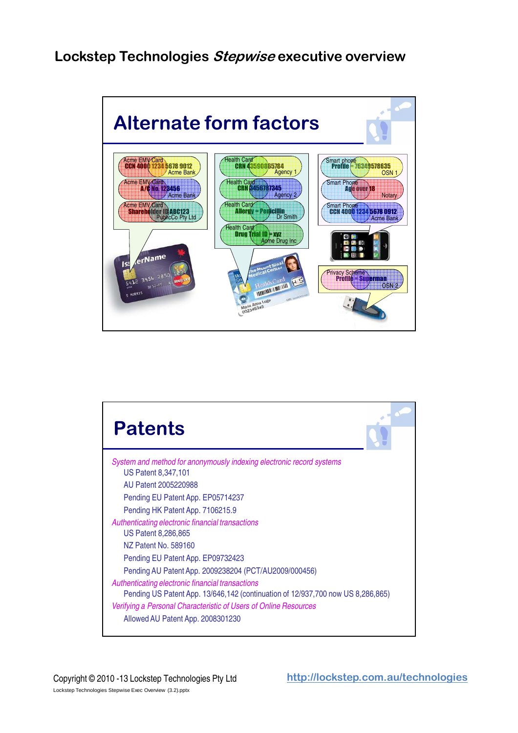